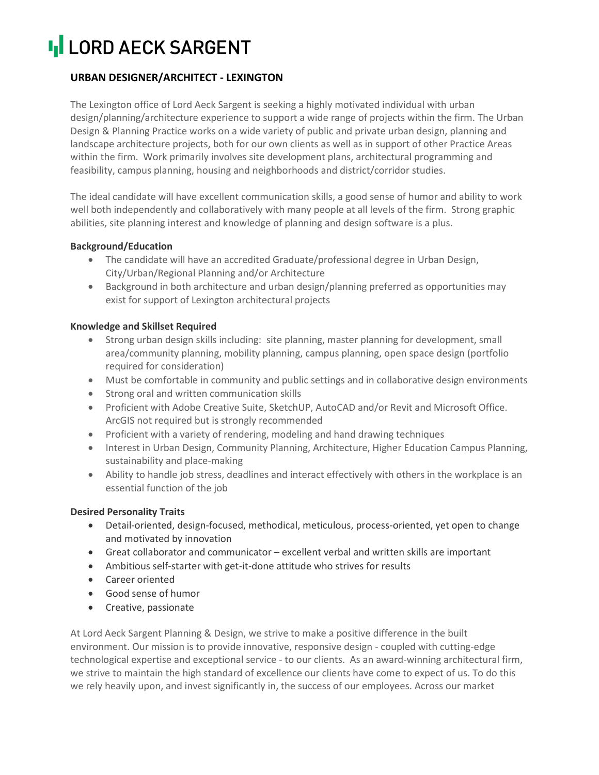# **II LORD AECK SARGENT**

## **URBAN DESIGNER/ARCHITECT - LEXINGTON**

The Lexington office of Lord Aeck Sargent is seeking a highly motivated individual with urban design/planning/architecture experience to support a wide range of projects within the firm. The Urban Design & Planning Practice works on a wide variety of public and private urban design, planning and landscape architecture projects, both for our own clients as well as in support of other Practice Areas within the firm. Work primarily involves site development plans, architectural programming and feasibility, campus planning, housing and neighborhoods and district/corridor studies.

The ideal candidate will have excellent communication skills, a good sense of humor and ability to work well both independently and collaboratively with many people at all levels of the firm. Strong graphic abilities, site planning interest and knowledge of planning and design software is a plus.

### **Background/Education**

- The candidate will have an accredited Graduate/professional degree in Urban Design, City/Urban/Regional Planning and/or Architecture
- Background in both architecture and urban design/planning preferred as opportunities may exist for support of Lexington architectural projects

### **Knowledge and Skillset Required**

- Strong urban design skills including: site planning, master planning for development, small area/community planning, mobility planning, campus planning, open space design (portfolio required for consideration)
- Must be comfortable in community and public settings and in collaborative design environments
- Strong oral and written communication skills
- Proficient with Adobe Creative Suite, SketchUP, AutoCAD and/or Revit and Microsoft Office. ArcGIS not required but is strongly recommended
- Proficient with a variety of rendering, modeling and hand drawing techniques
- Interest in Urban Design, Community Planning, Architecture, Higher Education Campus Planning, sustainability and place-making
- Ability to handle job stress, deadlines and interact effectively with others in the workplace is an essential function of the job

#### **Desired Personality Traits**

- Detail-oriented, design-focused, methodical, meticulous, process-oriented, yet open to change and motivated by innovation
- Great collaborator and communicator excellent verbal and written skills are important
- Ambitious self-starter with get-it-done attitude who strives for results
- Career oriented
- Good sense of humor
- Creative, passionate

At Lord Aeck Sargent Planning & Design, we strive to make a positive difference in the built environment. Our mission is to provide innovative, responsive design - coupled with cutting-edge technological expertise and exceptional service - to our clients. As an award-winning architectural firm, we strive to maintain the high standard of excellence our clients have come to expect of us. To do this we rely heavily upon, and invest significantly in, the success of our employees. Across our market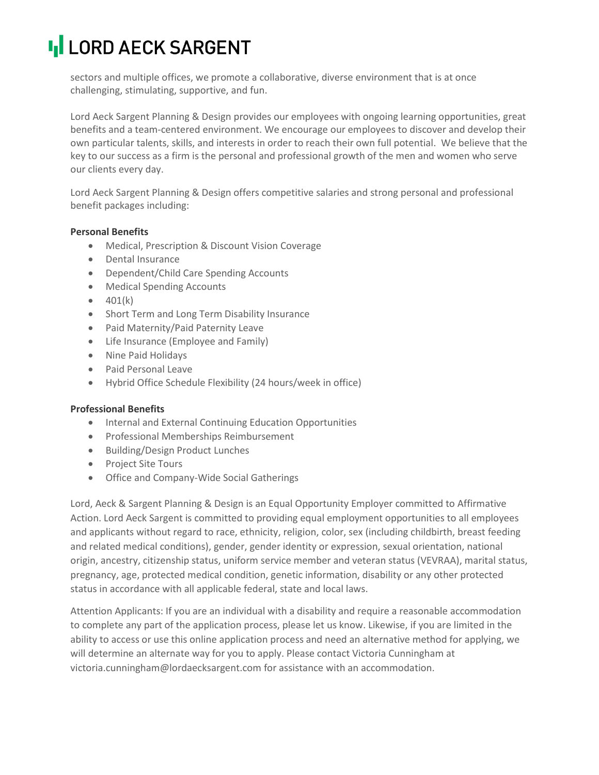# **II LORD AECK SARGENT**

sectors and multiple offices, we promote a collaborative, diverse environment that is at once challenging, stimulating, supportive, and fun.

Lord Aeck Sargent Planning & Design provides our employees with ongoing learning opportunities, great benefits and a team-centered environment. We encourage our employees to discover and develop their own particular talents, skills, and interests in order to reach their own full potential. We believe that the key to our success as a firm is the personal and professional growth of the men and women who serve our clients every day.

Lord Aeck Sargent Planning & Design offers competitive salaries and strong personal and professional benefit packages including:

### **Personal Benefits**

- Medical, Prescription & Discount Vision Coverage
- Dental Insurance
- Dependent/Child Care Spending Accounts
- Medical Spending Accounts
- $401(k)$
- Short Term and Long Term Disability Insurance
- Paid Maternity/Paid Paternity Leave
- Life Insurance (Employee and Family)
- Nine Paid Holidays
- Paid Personal Leave
- Hybrid Office Schedule Flexibility (24 hours/week in office)

#### **Professional Benefits**

- Internal and External Continuing Education Opportunities
- Professional Memberships Reimbursement
- Building/Design Product Lunches
- Project Site Tours
- Office and Company-Wide Social Gatherings

Lord, Aeck & Sargent Planning & Design is an Equal Opportunity Employer committed to Affirmative Action. Lord Aeck Sargent is committed to providing equal employment opportunities to all employees and applicants without regard to race, ethnicity, religion, color, sex (including childbirth, breast feeding and related medical conditions), gender, gender identity or expression, sexual orientation, national origin, ancestry, citizenship status, uniform service member and veteran status (VEVRAA), marital status, pregnancy, age, protected medical condition, genetic information, disability or any other protected status in accordance with all applicable federal, state and local laws.

Attention Applicants: If you are an individual with a disability and require a reasonable accommodation to complete any part of the application process, please let us know. Likewise, if you are limited in the ability to access or use this online application process and need an alternative method for applying, we will determine an alternate way for you to apply. Please contact Victoria Cunningham at [victoria.cunningham@lordaecksargent.com](mailto:victoria.cunningham@lordaecksargent.com) for assistance with an accommodation.